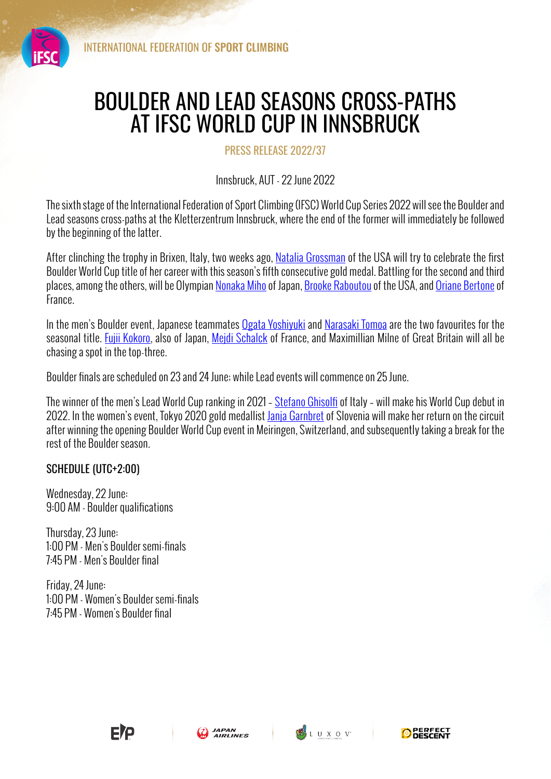

## BOULDER AND LEAD SEASONS CROSS-PATHS AT IFSC WORLD CUP IN INNSBRUCK

PRESS RELEASE 2022/37

Innsbruck, AUT - 22 June 2022

The sixth stage of the International Federation of Sport Climbing (IFSC) World Cup Series 2022 will see the Boulder and Lead seasons cross-paths at the Kletterzentrum Innsbruck, where the end of the former will immediately be followed by the beginning of the latter.

After clinching the trophy in Brixen, Italy, two weeks ago, Natalia Grossman of the USA will try to celebrate the first Boulder World Cup title of her career with this season's fifth consecutive gold medal. Battling for the second and third places, among the others, will be Olympian Nonaka Miho of Japan, Brooke Raboutou of the USA, and Oriane Bertone of France.

In the men's Boulder event, Japanese teammates Ogata Yoshiyuki and Narasaki Tomoa are the two favourites for the seasonal title. Fujii Kokoro, also of Japan, Mejdi Schalck of France, and Maximillian Milne of Great Britain will all be chasing a spot in the top-three.

Boulder finals are scheduled on 23 and 24 June; while Lead events will commence on 25 June.

The winner of the men's Lead World Cup ranking in 2021 - Stefano Ghisolfi of Italy - will make his World Cup debut in 2022. In the women's event, Tokyo 2020 gold medallist Janja Garnbret of Slovenia will make her return on the circuit after winning the opening Boulder World Cup event in Meiringen, Switzerland, and subsequently taking a break for the rest of the Boulder season.

## SCHEDULE (UTC+2:00)

Wednesday, 22 June: 9:00 AM - Boulder qualifications

Thursday, 23 June: 1:00 PM - Men's Boulder semi-finals 7:45 PM - Men's Boulder final

Friday, 24 June: 1:00 PM - Women's Boulder semi-finals 7:45 PM - Women's Boulder final